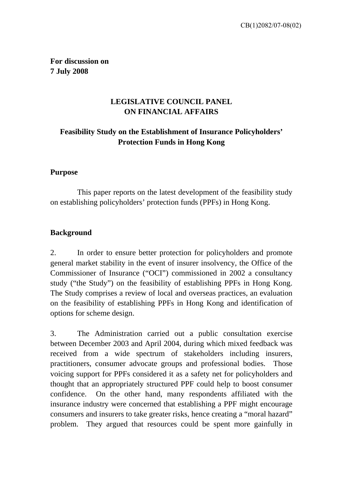**For discussion on 7 July 2008** 

## **LEGISLATIVE COUNCIL PANEL ON FINANCIAL AFFAIRS**

## **Feasibility Study on the Establishment of Insurance Policyholders' Protection Funds in Hong Kong**

#### **Purpose**

This paper reports on the latest development of the feasibility study on establishing policyholders' protection funds (PPFs) in Hong Kong.

#### **Background**

2. In order to ensure better protection for policyholders and promote general market stability in the event of insurer insolvency, the Office of the Commissioner of Insurance ("OCI") commissioned in 2002 a consultancy study ("the Study") on the feasibility of establishing PPFs in Hong Kong. The Study comprises a review of local and overseas practices, an evaluation on the feasibility of establishing PPFs in Hong Kong and identification of options for scheme design.

3. The Administration carried out a public consultation exercise between December 2003 and April 2004, during which mixed feedback was received from a wide spectrum of stakeholders including insurers, practitioners, consumer advocate groups and professional bodies. Those voicing support for PPFs considered it as a safety net for policyholders and thought that an appropriately structured PPF could help to boost consumer confidence. On the other hand, many respondents affiliated with the insurance industry were concerned that establishing a PPF might encourage consumers and insurers to take greater risks, hence creating a "moral hazard" problem. They argued that resources could be spent more gainfully in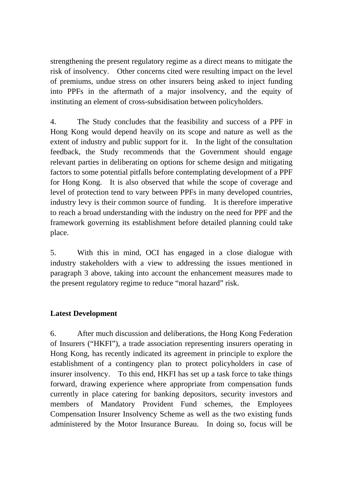strengthening the present regulatory regime as a direct means to mitigate the risk of insolvency. Other concerns cited were resulting impact on the level of premiums, undue stress on other insurers being asked to inject funding into PPFs in the aftermath of a major insolvency, and the equity of instituting an element of cross-subsidisation between policyholders.

4. The Study concludes that the feasibility and success of a PPF in Hong Kong would depend heavily on its scope and nature as well as the extent of industry and public support for it. In the light of the consultation feedback, the Study recommends that the Government should engage relevant parties in deliberating on options for scheme design and mitigating factors to some potential pitfalls before contemplating development of a PPF for Hong Kong. It is also observed that while the scope of coverage and level of protection tend to vary between PPFs in many developed countries, industry levy is their common source of funding. It is therefore imperative to reach a broad understanding with the industry on the need for PPF and the framework governing its establishment before detailed planning could take place.

5. With this in mind, OCI has engaged in a close dialogue with industry stakeholders with a view to addressing the issues mentioned in paragraph 3 above, taking into account the enhancement measures made to the present regulatory regime to reduce "moral hazard" risk.

### **Latest Development**

6. After much discussion and deliberations, the Hong Kong Federation of Insurers ("HKFI"), a trade association representing insurers operating in Hong Kong, has recently indicated its agreement in principle to explore the establishment of a contingency plan to protect policyholders in case of insurer insolvency. To this end, HKFI has set up a task force to take things forward, drawing experience where appropriate from compensation funds currently in place catering for banking depositors, security investors and members of Mandatory Provident Fund schemes, the Employees Compensation Insurer Insolvency Scheme as well as the two existing funds administered by the Motor Insurance Bureau. In doing so, focus will be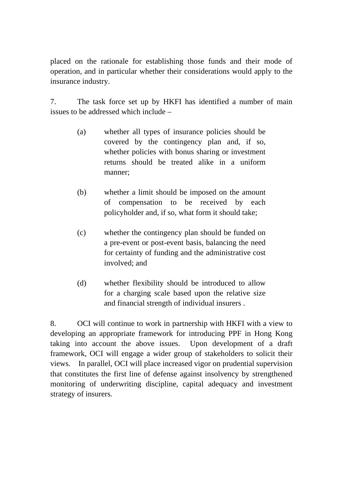placed on the rationale for establishing those funds and their mode of operation, and in particular whether their considerations would apply to the insurance industry.

7. The task force set up by HKFI has identified a number of main issues to be addressed which include –

- (a) whether all types of insurance policies should be covered by the contingency plan and, if so, whether policies with bonus sharing or investment returns should be treated alike in a uniform manner;
- (b) whether a limit should be imposed on the amount of compensation to be received by each policyholder and, if so, what form it should take;
- (c) whether the contingency plan should be funded on a pre-event or post-event basis, balancing the need for certainty of funding and the administrative cost involved; and
- (d) whether flexibility should be introduced to allow for a charging scale based upon the relative size and financial strength of individual insurers .

8. OCI will continue to work in partnership with HKFI with a view to developing an appropriate framework for introducing PPF in Hong Kong taking into account the above issues. Upon development of a draft framework, OCI will engage a wider group of stakeholders to solicit their views. In parallel, OCI will place increased vigor on prudential supervision that constitutes the first line of defense against insolvency by strengthened monitoring of underwriting discipline, capital adequacy and investment strategy of insurers.